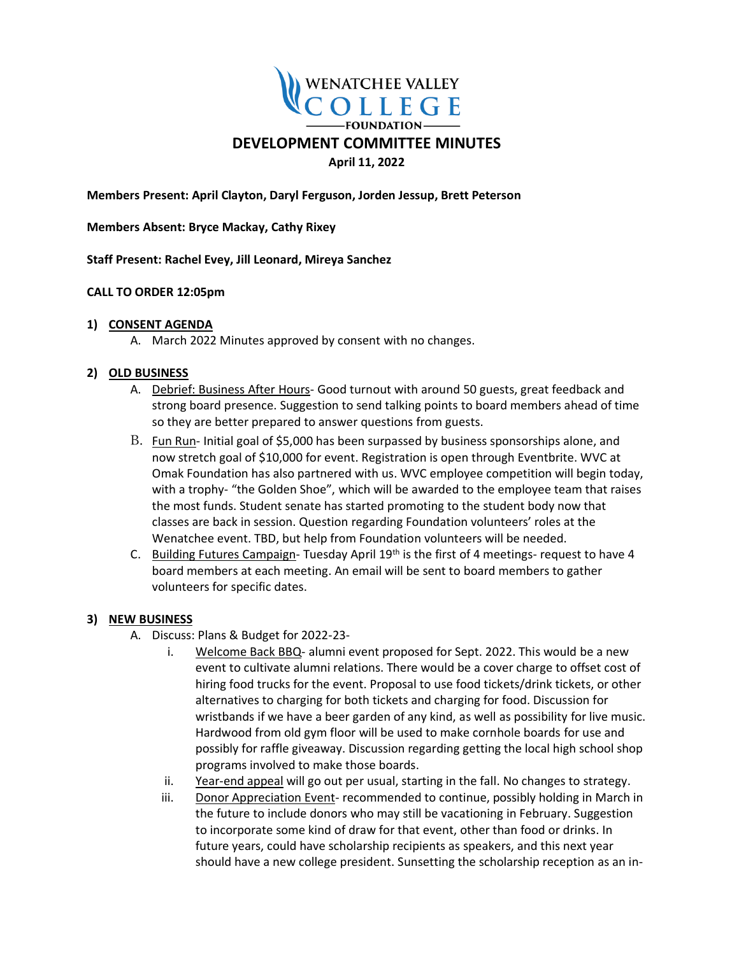

**Members Present: April Clayton, Daryl Ferguson, Jorden Jessup, Brett Peterson** 

**Members Absent: Bryce Mackay, Cathy Rixey**

**Staff Present: Rachel Evey, Jill Leonard, Mireya Sanchez** 

## **CALL TO ORDER 12:05pm**

## **1) CONSENT AGENDA**

A. March 2022 Minutes approved by consent with no changes.

# **2) OLD BUSINESS**

- A. Debrief: Business After Hours- Good turnout with around 50 guests, great feedback and strong board presence. Suggestion to send talking points to board members ahead of time so they are better prepared to answer questions from guests.
- B. Fun Run- Initial goal of \$5,000 has been surpassed by business sponsorships alone, and now stretch goal of \$10,000 for event. Registration is open through Eventbrite. WVC at Omak Foundation has also partnered with us. WVC employee competition will begin today, with a trophy- "the Golden Shoe", which will be awarded to the employee team that raises the most funds. Student senate has started promoting to the student body now that classes are back in session. Question regarding Foundation volunteers' roles at the Wenatchee event. TBD, but help from Foundation volunteers will be needed.
- C. Building Futures Campaign-Tuesday April 19<sup>th</sup> is the first of 4 meetings- request to have 4 board members at each meeting. An email will be sent to board members to gather volunteers for specific dates.

#### **3) NEW BUSINESS**

- A. Discuss: Plans & Budget for 2022-23
	- i. Welcome Back BBQ- alumni event proposed for Sept. 2022. This would be a new event to cultivate alumni relations. There would be a cover charge to offset cost of hiring food trucks for the event. Proposal to use food tickets/drink tickets, or other alternatives to charging for both tickets and charging for food. Discussion for wristbands if we have a beer garden of any kind, as well as possibility for live music. Hardwood from old gym floor will be used to make cornhole boards for use and possibly for raffle giveaway. Discussion regarding getting the local high school shop programs involved to make those boards.
	- ii. Year-end appeal will go out per usual, starting in the fall. No changes to strategy.
	- iii. Donor Appreciation Event- recommended to continue, possibly holding in March in the future to include donors who may still be vacationing in February. Suggestion to incorporate some kind of draw for that event, other than food or drinks. In future years, could have scholarship recipients as speakers, and this next year should have a new college president. Sunsetting the scholarship reception as an in-